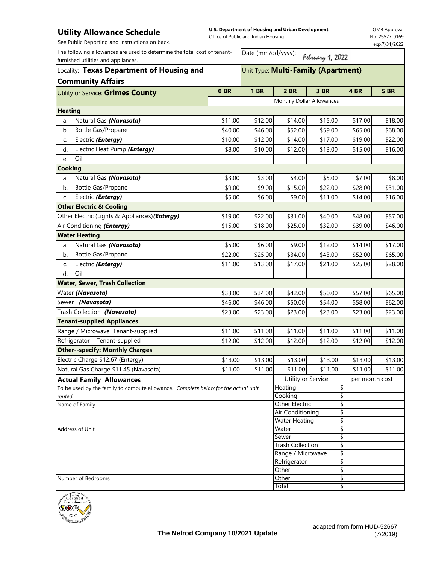## **Utility Allowance Schedule**

**U.S. Department of Housing and Urban Development**  Office of Public and Indian Housing

OMB Approval No. 25577-0169 exp.7/31/2022

|  |  | See Public Reporting and Instructions on back. |  |
|--|--|------------------------------------------------|--|
|  |  |                                                |  |

| The following allowances are used to determine the total cost of tenant-<br>furnished utilities and appliances. |                                     |                                   | Date (mm/dd/yyyy):<br>February 1, 2022 |          |                |             |  |  |
|-----------------------------------------------------------------------------------------------------------------|-------------------------------------|-----------------------------------|----------------------------------------|----------|----------------|-------------|--|--|
| Locality: Texas Department of Housing and                                                                       | Unit Type: Multi-Family (Apartment) |                                   |                                        |          |                |             |  |  |
| <b>Community Affairs</b>                                                                                        |                                     |                                   |                                        |          |                |             |  |  |
| Utility or Service: Grimes County                                                                               | 0 <sub>BR</sub>                     | <b>1 BR</b>                       | <b>2 BR</b>                            | 3 BR     | 4 BR           | <b>5 BR</b> |  |  |
|                                                                                                                 |                                     |                                   | Monthly Dollar Allowances              |          |                |             |  |  |
| <b>Heating</b>                                                                                                  |                                     |                                   |                                        |          |                |             |  |  |
| Natural Gas (Navasota)<br>a.                                                                                    | \$11.00                             | \$12.00                           | \$14.00                                | \$15.00  | \$17.00        | \$18.00     |  |  |
| <b>Bottle Gas/Propane</b><br>b.                                                                                 | \$40.00                             | \$46.00                           | \$52.00                                | \$59.00  | \$65.00        | \$68.00     |  |  |
| Electric (Entergy)<br>C.                                                                                        | \$10.00                             | \$12.00                           | \$14.00                                | \$17.00  | \$19.00        | \$22.00     |  |  |
| Electric Heat Pump (Entergy)<br>d.                                                                              | \$8.00                              | \$10.00                           | \$12.00                                | \$13.00  | \$15.00        | \$16.00     |  |  |
| Oil<br>e.                                                                                                       |                                     |                                   |                                        |          |                |             |  |  |
| <b>Cooking</b>                                                                                                  |                                     |                                   |                                        |          |                |             |  |  |
| Natural Gas (Navasota)<br>a.                                                                                    | \$3.00                              | \$3.00                            | \$4.00                                 | \$5.00   | \$7.00         | \$8.00      |  |  |
| Bottle Gas/Propane<br>b.                                                                                        | \$9.00                              | \$9.00                            | \$15.00                                | \$22.00  | \$28.00        | \$31.00     |  |  |
| Electric (Entergy)<br>C.                                                                                        | \$5.00                              | \$6.00                            | \$9.00                                 | \$11.00  | \$14.00        | \$16.00     |  |  |
| <b>Other Electric &amp; Cooling</b>                                                                             |                                     |                                   |                                        |          |                |             |  |  |
| Other Electric (Lights & Appliances)(Entergy)                                                                   | \$19.00                             | \$22.00                           | \$31.00                                | \$40.00  | \$48.00        | \$57.00     |  |  |
| Air Conditioning (Entergy)                                                                                      | \$15.00                             | \$18.00                           | \$25.00                                | \$32.00  | \$39.00        | \$46.00     |  |  |
| <b>Water Heating</b>                                                                                            |                                     |                                   |                                        |          |                |             |  |  |
| Natural Gas (Navasota)<br>a.                                                                                    | \$5.00                              | \$6.00                            | \$9.00                                 | \$12.00  | \$14.00        | \$17.00     |  |  |
| Bottle Gas/Propane<br>b.                                                                                        | \$22.00                             | \$25.00                           | \$34.00                                | \$43.00  | \$52.00        | \$65.00     |  |  |
| Electric ( <i>Entergy</i> )<br>C.                                                                               | \$11.00                             | \$13.00                           | \$17.00                                | \$21.00  | \$25.00        | \$28.00     |  |  |
| Oil<br>d.                                                                                                       |                                     |                                   |                                        |          |                |             |  |  |
| <b>Water, Sewer, Trash Collection</b>                                                                           |                                     |                                   |                                        |          |                |             |  |  |
| Water (Navasota)                                                                                                | \$33.00                             | \$34.00                           | \$42.00                                | \$50.00  | \$57.00        | \$65.00     |  |  |
| Sewer (Navasota)                                                                                                | \$46.00                             | \$46.00                           | \$50.00                                | \$54.00  | \$58.00        | \$62.00     |  |  |
| Trash Collection (Navasota)                                                                                     | \$23.00                             | \$23.00                           | \$23.00                                | \$23.00  | \$23.00        | \$23.00     |  |  |
| <b>Tenant-supplied Appliances</b>                                                                               |                                     |                                   |                                        |          |                |             |  |  |
| Range / Microwave Tenant-supplied                                                                               | \$11.00                             | \$11.00                           | \$11.00                                | \$11.00  | \$11.00        | \$11.00     |  |  |
| Tenant-supplied<br>Refrigerator                                                                                 | \$12.00                             | \$12.00                           | \$12.00                                | \$12.00  | \$12.00        | \$12.00     |  |  |
| <b>Other--specify: Monthly Charges</b>                                                                          |                                     |                                   |                                        |          |                |             |  |  |
| Electric Charge \$12.67 (Entergy)                                                                               | \$13.00                             | \$13.00                           | \$13.00                                | \$13.00  | \$13.00        | \$13.00     |  |  |
| Natural Gas Charge \$11.45 (Navasota)                                                                           | \$11.00                             | \$11.00                           | \$11.00                                | \$11.00  | \$11.00        | \$11.00     |  |  |
| <b>Actual Family Allowances</b>                                                                                 |                                     |                                   | Utility or Service                     |          | per month cost |             |  |  |
| To be used by the family to compute allowance. Complete below for the actual unit                               |                                     |                                   | Heating                                |          | \$             |             |  |  |
| rented.                                                                                                         |                                     |                                   | Cooking                                |          | \$             |             |  |  |
| Name of Family                                                                                                  |                                     | Other Electric                    |                                        | \$       |                |             |  |  |
|                                                                                                                 |                                     |                                   | Air Conditioning                       |          | \$             |             |  |  |
|                                                                                                                 |                                     | <b>Water Heating</b>              |                                        | \$       |                |             |  |  |
| Address of Unit                                                                                                 |                                     | Water<br>Sewer                    |                                        | \$<br>\$ |                |             |  |  |
|                                                                                                                 |                                     | <b>Trash Collection</b>           |                                        | \$       |                |             |  |  |
|                                                                                                                 |                                     | Range / Microwave<br>Refrigerator |                                        | \$       |                |             |  |  |
|                                                                                                                 |                                     |                                   |                                        | \$       |                |             |  |  |
|                                                                                                                 |                                     | Other                             |                                        | \$       |                |             |  |  |
| Number of Bedrooms                                                                                              |                                     |                                   | Other                                  |          | \$             |             |  |  |
|                                                                                                                 |                                     |                                   | Total                                  |          | \$             |             |  |  |